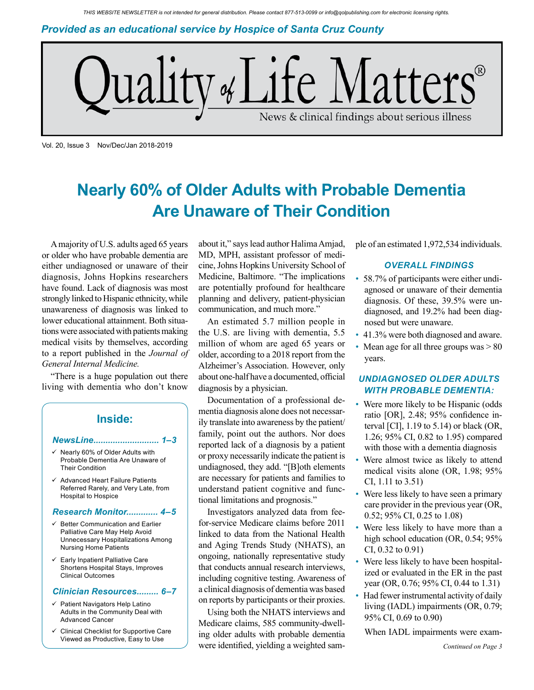*Provided as an educational service by Hospice of Santa Cruz County*



Vol. 20, Issue 3 Nov/Dec/Jan 2018-2019

# **Nearly 60% of Older Adults with Probable Dementia Are Unaware of Their Condition**

A majority of U.S. adults aged 65 years or older who have probable dementia are either undiagnosed or unaware of their diagnosis, Johns Hopkins researchers have found. Lack of diagnosis was most strongly linked to Hispanic ethnicity, while unawareness of diagnosis was linked to lower educational attainment. Both situations were associated with patients making medical visits by themselves, according to a report published in the *Journal of General Internal Medicine.*

"There is a huge population out there living with dementia who don't know

### **Inside:**

#### *NewsLine........................... 1–3*

- $\checkmark$  Nearly 60% of Older Adults with Probable Dementia Are Unaware of Their Condition
- $\checkmark$  Advanced Heart Failure Patients Referred Rarely, and Very Late, from Hospital to Hospice

#### *Research Monitor............. 4–5*

- $\checkmark$  Better Communication and Earlier Palliative Care May Help Avoid Unnecessary Hospitalizations Among Nursing Home Patients
- $\checkmark$  Early Inpatient Palliative Care Shortens Hospital Stays, Improves Clinical Outcomes

#### *Clinician Resources......... 6–7*

- $\checkmark$  Patient Navigators Help Latino Adults in the Community Deal with Advanced Cancer
- Clinical Checklist for Supportive Care Viewed as Productive, Easy to Use

about it," says lead author Halima Amjad, MD, MPH, assistant professor of medicine, Johns Hopkins University School of Medicine, Baltimore. "The implications are potentially profound for healthcare planning and delivery, patient-physician communication, and much more."

An estimated 5.7 million people in the U.S. are living with dementia, 5.5 million of whom are aged 65 years or older, according to a 2018 report from the Alzheimer's Association. However, only about one-half have a documented, official diagnosis by a physician.

Documentation of a professional dementia diagnosis alone does not necessarily translate into awareness by the patient/ family, point out the authors. Nor does reported lack of a diagnosis by a patient or proxy necessarily indicate the patient is undiagnosed, they add. "[B]oth elements are necessary for patients and families to understand patient cognitive and functional limitations and prognosis."

Investigators analyzed data from feefor-service Medicare claims before 2011 linked to data from the National Health and Aging Trends Study (NHATS), an ongoing, nationally representative study that conducts annual research interviews, including cognitive testing. Awareness of a clinical diagnosis of dementia was based on reports by participants or their proxies.

Using both the NHATS interviews and Medicare claims, 585 community-dwelling older adults with probable dementia were identified, yielding a weighted sample of an estimated 1,972,534 individuals.

### *OVERALL FINDINGS*

- 58.7% of participants were either undiagnosed or unaware of their dementia diagnosis. Of these, 39.5% were undiagnosed, and 19.2% had been diagnosed but were unaware.
- 41.3% were both diagnosed and aware.
- Mean age for all three groups was  $> 80$ years.

### *UNDIAGNOSED OLDER ADULTS WITH PROBABLE DEMENTIA:*

- Were more likely to be Hispanic (odds ratio [OR], 2.48; 95% confidence interval [CI], 1.19 to 5.14) or black (OR, 1.26; 95% CI, 0.82 to 1.95) compared with those with a dementia diagnosis
- Were almost twice as likely to attend medical visits alone (OR, 1.98; 95% CI, 1.11 to 3.51)
- Were less likely to have seen a primary care provider in the previous year (OR, 0.52; 95% CI, 0.25 to 1.08)
- Were less likely to have more than a high school education (OR, 0.54; 95% CI, 0.32 to 0.91)
- Were less likely to have been hospitalized or evaluated in the ER in the past year (OR, 0.76; 95% CI, 0.44 to 1.31)
- Had fewer instrumental activity of daily living (IADL) impairments (OR, 0.79; 95% CI, 0.69 to 0.90)

When IADL impairments were exam-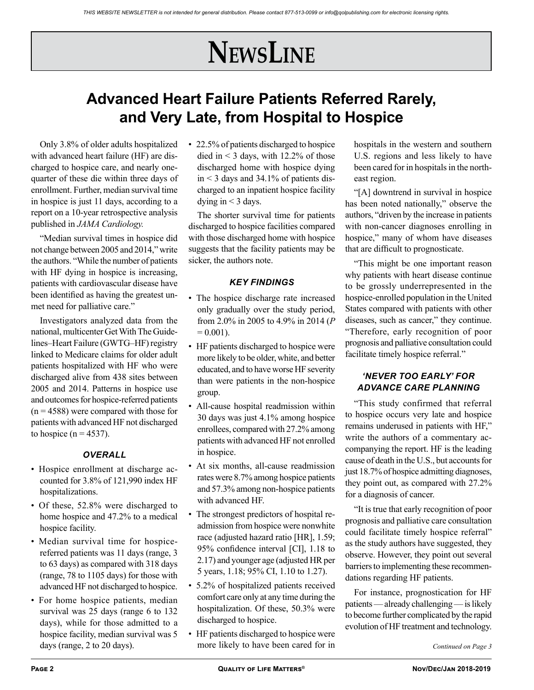# **NewsLine**

## **Advanced Heart Failure Patients Referred Rarely, and Very Late, from Hospital to Hospice**

Only 3.8% of older adults hospitalized with advanced heart failure (HF) are discharged to hospice care, and nearly onequarter of these die within three days of enrollment. Further, median survival time in hospice is just 11 days, according to a report on a 10-year retrospective analysis published in *JAMA Cardiology.*

"Median survival times in hospice did not change between 2005 and 2014," write the authors. "While the number of patients with HF dying in hospice is increasing, patients with cardiovascular disease have been identified as having the greatest unmet need for palliative care."

Investigators analyzed data from the national, multicenter Get With The Guidelines–Heart Failure (GWTG–HF) registry linked to Medicare claims for older adult patients hospitalized with HF who were discharged alive from 438 sites between 2005 and 2014. Patterns in hospice use and outcomes for hospice-referred patients  $(n = 4588)$  were compared with those for patients with advanced HF not discharged to hospice  $(n = 4537)$ .

### *OVERALL*

- Hospice enrollment at discharge accounted for 3.8% of 121,990 index HF hospitalizations.
- Of these, 52.8% were discharged to home hospice and 47.2% to a medical hospice facility.
- Median survival time for hospicereferred patients was 11 days (range, 3 to 63 days) as compared with 318 days (range, 78 to 1105 days) for those with advanced HF not discharged to hospice.
- For home hospice patients, median survival was 25 days (range 6 to 132) days), while for those admitted to a hospice facility, median survival was 5

• 22.5% of patients discharged to hospice died in  $\leq$  3 days, with 12.2% of those discharged home with hospice dying in  $\leq$  3 days and 34.1% of patients discharged to an inpatient hospice facility dying in  $<$  3 days.

The shorter survival time for patients discharged to hospice facilities compared with those discharged home with hospice suggests that the facility patients may be sicker, the authors note.

### *KEY FINDINGS*

- The hospice discharge rate increased only gradually over the study period, from 2.0% in 2005 to 4.9% in 2014 (*P*   $= 0.001$ .
- HF patients discharged to hospice were more likely to be older, white, and better educated, and to have worse HF severity than were patients in the non-hospice group.
- All-cause hospital readmission within 30 days was just 4.1% among hospice enrollees, compared with 27.2% among patients with advanced HF not enrolled in hospice.
- At six months, all-cause readmission rates were 8.7% among hospice patients and 57.3% among non-hospice patients with advanced HF.
- The strongest predictors of hospital readmission from hospice were nonwhite race (adjusted hazard ratio [HR], 1.59; 95% confidence interval [CI], 1.18 to 2.17) and younger age (adjusted HR per 5 years, 1.18; 95% CI, 1.10 to 1.27).
- 5.2% of hospitalized patients received comfort care only at any time during the hospitalization. Of these, 50.3% were discharged to hospice.
- days (range, 2 to 20 days). *Continued on Page 3 Continued on Page 3* • HF patients discharged to hospice were

hospitals in the western and southern U.S. regions and less likely to have been cared for in hospitals in the northeast region.

"[A] downtrend in survival in hospice has been noted nationally," observe the authors, "driven by the increase in patients with non-cancer diagnoses enrolling in hospice," many of whom have diseases that are difficult to prognosticate.

"This might be one important reason why patients with heart disease continue to be grossly underrepresented in the hospice-enrolled population in the United States compared with patients with other diseases, such as cancer," they continue. "Therefore, early recognition of poor prognosis and palliative consultation could facilitate timely hospice referral."

### *'NEVER TOO EARLY' FOR ADVANCE CARE PLANNING*

"This study confirmed that referral to hospice occurs very late and hospice remains underused in patients with HF," write the authors of a commentary accompanying the report. HF is the leading cause of death in the U.S., but accounts for just 18.7% of hospice admitting diagnoses, they point out, as compared with 27.2% for a diagnosis of cancer.

"It is true that early recognition of poor prognosis and palliative care consultation could facilitate timely hospice referral" as the study authors have suggested, they observe. However, they point out several barriers to implementing these recommendations regarding HF patients.

For instance, prognostication for HF patients — already challenging — is likely to become further complicated by the rapid evolution of HF treatment and technology.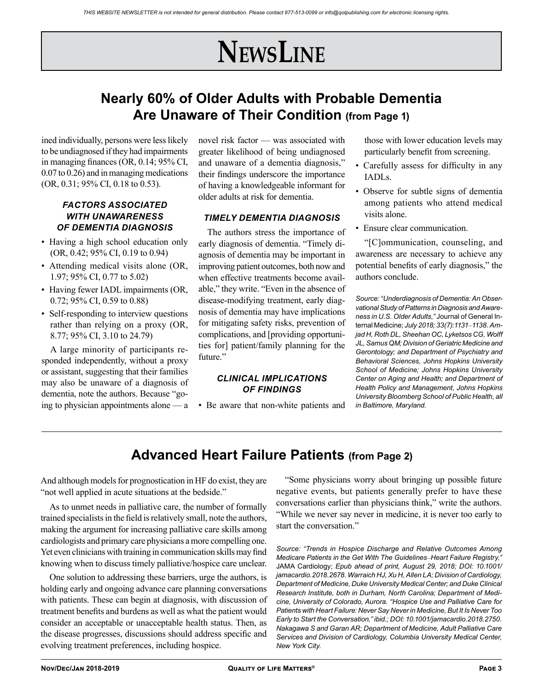# **NewsLine**

## **Nearly 60% of Older Adults with Probable Dementia Are Unaware of Their Condition (from Page 1)**

ined individually, persons were less likely to be undiagnosed if they had impairments in managing finances (OR, 0.14; 95% CI, 0.07 to 0.26) and in managing medications (OR, 0.31; 95% CI, 0.18 to 0.53).

### *FACTORS ASSOCIATED WITH UNAWARENESS OF DEMENTIA DIAGNOSIS*

- Having a high school education only (OR, 0.42; 95% CI, 0.19 to 0.94)
- Attending medical visits alone (OR, 1.97; 95% CI, 0.77 to 5.02)
- Having fewer IADL impairments (OR, 0.72; 95% CI, 0.59 to 0.88)
- Self-responding to interview questions rather than relying on a proxy (OR, 8.77; 95% CI, 3.10 to 24.79)

A large minority of participants responded independently, without a proxy or assistant, suggesting that their families may also be unaware of a diagnosis of dementia, note the authors. Because "going to physician appointments alone — a

novel risk factor — was associated with greater likelihood of being undiagnosed and unaware of a dementia diagnosis," their findings underscore the importance of having a knowledgeable informant for older adults at risk for dementia.

### *TIMELY DEMENTIA DIAGNOSIS*

The authors stress the importance of early diagnosis of dementia. "Timely diagnosis of dementia may be important in improving patient outcomes, both now and when effective treatments become available," they write. "Even in the absence of disease-modifying treatment, early diagnosis of dementia may have implications for mitigating safety risks, prevention of complications, and [providing opportunities for] patient/family planning for the future."

### *CLINICAL IMPLICATIONS OF FINDINGS*

• Be aware that non-white patients and

those with lower education levels may particularly benefit from screening.

- Carefully assess for difficulty in any IADLs.
- Observe for subtle signs of dementia among patients who attend medical visits alone.
- Ensure clear communication.

"[C]ommunication, counseling, and awareness are necessary to achieve any potential benefits of early diagnosis," the authors conclude.

*Source: "Underdiagnosis of Dementia: An Observational Study of Patterns in Diagnosis and Awareness in U.S. Older Adults,"* Journal of General Internal Medicine; *July 2018; 33(7):1131*–*1138. Amjad H, Roth DL, Sheehan OC, Lyketsos CG, Wolff JL, Samus QM; Division of Geriatric Medicine and Gerontology; and Department of Psychiatry and Behavioral Sciences, Johns Hopkins University School of Medicine; Johns Hopkins University Center on Aging and Health; and Department of Health Policy and Management, Johns Hopkins University Bloomberg School of Public Health, all in Baltimore, Maryland.*

## **Advanced Heart Failure Patients (from Page 2)**

And although models for prognostication in HF do exist, they are "not well applied in acute situations at the bedside."

As to unmet needs in palliative care, the number of formally trained specialists in the field is relatively small, note the authors, making the argument for increasing palliative care skills among cardiologists and primary care physicians a more compelling one. Yet even clinicians with training in communication skills may find knowing when to discuss timely palliative/hospice care unclear.

One solution to addressing these barriers, urge the authors, is holding early and ongoing advance care planning conversations with patients. These can begin at diagnosis, with discussion of treatment benefits and burdens as well as what the patient would consider an acceptable or unacceptable health status. Then, as the disease progresses, discussions should address specific and evolving treatment preferences, including hospice.

"Some physicians worry about bringing up possible future negative events, but patients generally prefer to have these conversations earlier than physicians think," write the authors. "While we never say never in medicine, it is never too early to start the conversation."

*Source: "Trends in Hospice Discharge and Relative Outcomes Among Medicare Patients in the Get With The Guidelines*–*Heart Failure Registry,"*  JAMA Cardiology; *Epub ahead of print, August 29, 2018; DOI: 10.1001/ jamacardio.2018.2678. Warraich HJ, Xu H, Allen LA; Division of Cardiology, Department of Medicine, Duke University Medical Center; and Duke Clinical Research Institute, both in Durham, North Carolina; Department of Medicine, University of Colorado, Aurora. "Hospice Use and Palliative Care for Patients with Heart Failure: Never Say Never in Medicine, But It Is Never Too Early to Start the Conversation," ibid.; DOI: 10.1001/jamacardio.2018.2750. Nakagawa S and Garan AR; Department of Medicine, Adult Palliative Care Services and Division of Cardiology, Columbia University Medical Center, New York City.*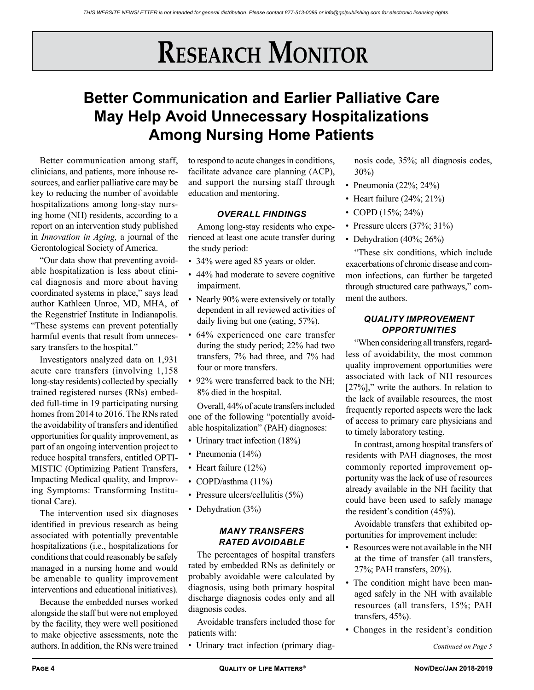# **RESEARCH MONITOR**

## **Better Communication and Earlier Palliative Care May Help Avoid Unnecessary Hospitalizations Among Nursing Home Patients**

Better communication among staff, clinicians, and patients, more inhouse resources, and earlier palliative care may be key to reducing the number of avoidable hospitalizations among long-stay nursing home (NH) residents, according to a report on an intervention study published in *Innovation in Aging,* a journal of the Gerontological Society of America.

"Our data show that preventing avoidable hospitalization is less about clinical diagnosis and more about having coordinated systems in place," says lead author Kathleen Unroe, MD, MHA, of the Regenstrief Institute in Indianapolis. "These systems can prevent potentially harmful events that result from unnecessary transfers to the hospital."

Investigators analyzed data on 1,931 acute care transfers (involving 1,158 long-stay residents) collected by specially trained registered nurses (RNs) embedded full-time in 19 participating nursing homes from 2014 to 2016. The RNs rated the avoidability of transfers and identified opportunities for quality improvement, as part of an ongoing intervention project to reduce hospital transfers, entitled OPTI-MISTIC (Optimizing Patient Transfers, Impacting Medical quality, and Improving Symptoms: Transforming Institutional Care).

The intervention used six diagnoses identified in previous research as being associated with potentially preventable hospitalizations (i.e., hospitalizations for conditions that could reasonably be safely managed in a nursing home and would be amenable to quality improvement interventions and educational initiatives).

Because the embedded nurses worked alongside the staff but were not employed by the facility, they were well positioned to make objective assessments, note the authors. In addition, the RNs were trained

to respond to acute changes in conditions, facilitate advance care planning (ACP), and support the nursing staff through education and mentoring.

### *OVERALL FINDINGS*

Among long-stay residents who experienced at least one acute transfer during the study period:

- 34% were aged 85 years or older.
- 44% had moderate to severe cognitive impairment.
- Nearly 90% were extensively or totally dependent in all reviewed activities of daily living but one (eating, 57%).
- 64% experienced one care transfer during the study period; 22% had two transfers, 7% had three, and 7% had four or more transfers.
- 92% were transferred back to the NH; 8% died in the hospital.

Overall, 44% of acute transfers included one of the following "potentially avoidable hospitalization" (PAH) diagnoses:

- Urinary tract infection (18%)
- Pneumonia (14%)
- Heart failure (12%)
- COPD/asthma (11%)
- Pressure ulcers/cellulitis (5%)
- Dehydration (3%)

### *MANY TRANSFERS RATED AVOIDABLE*

The percentages of hospital transfers rated by embedded RNs as definitely or probably avoidable were calculated by diagnosis, using both primary hospital discharge diagnosis codes only and all diagnosis codes.

Avoidable transfers included those for patients with:

• Urinary tract infection (primary diag-

nosis code, 35%; all diagnosis codes, 30%)

- Pneumonia (22%; 24%)
- Heart failure  $(24\%; 21\%)$
- COPD  $(15\%; 24\%)$
- Pressure ulcers (37%; 31%)
- Dehydration (40%; 26%)

"These six conditions, which include exacerbations of chronic disease and common infections, can further be targeted through structured care pathways," comment the authors.

### *QUALITY IMPROVEMENT OPPORTUNITIES*

"When considering all transfers, regardless of avoidability, the most common quality improvement opportunities were associated with lack of NH resources [27%]," write the authors. In relation to the lack of available resources, the most frequently reported aspects were the lack of access to primary care physicians and to timely laboratory testing.

In contrast, among hospital transfers of residents with PAH diagnoses, the most commonly reported improvement opportunity was the lack of use of resources already available in the NH facility that could have been used to safely manage the resident's condition (45%).

Avoidable transfers that exhibited opportunities for improvement include:

- Resources were not available in the NH at the time of transfer (all transfers, 27%; PAH transfers, 20%).
- The condition might have been managed safely in the NH with available resources (all transfers, 15%; PAH transfers, 45%).
- Changes in the resident's condition

*Continued on Page 5*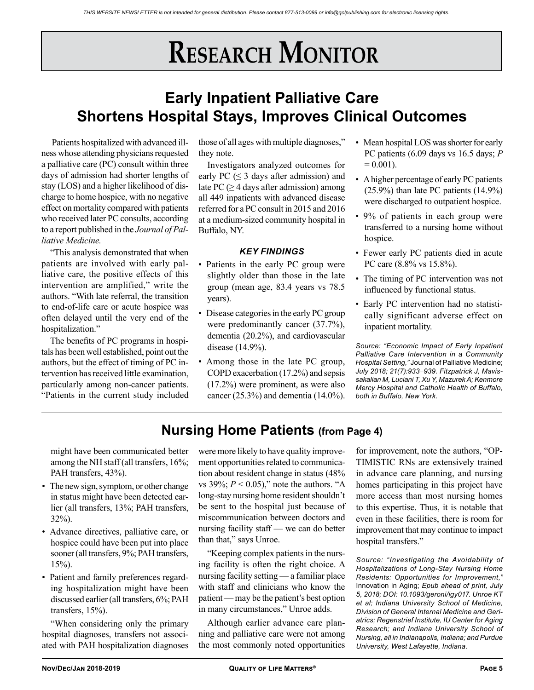# **RESEARCH MONITOR**

## **Early Inpatient Palliative Care Shortens Hospital Stays, Improves Clinical Outcomes**

 Patients hospitalized with advanced illness whose attending physicians requested a palliative care (PC) consult within three days of admission had shorter lengths of stay (LOS) and a higher likelihood of discharge to home hospice, with no negative effect on mortality compared with patients who received later PC consults, according to a report published in the *Journal of Palliative Medicine.*

"This analysis demonstrated that when patients are involved with early palliative care, the positive effects of this intervention are amplified," write the authors. "With late referral, the transition to end-of-life care or acute hospice was often delayed until the very end of the hospitalization."

The benefits of PC programs in hospitals has been well established, point out the authors, but the effect of timing of PC intervention has received little examination, particularly among non-cancer patients. "Patients in the current study included

those of all ages with multiple diagnoses," they note.

Investigators analyzed outcomes for early PC ( $\leq$  3 days after admission) and late PC ( $\geq$  4 days after admission) among all 449 inpatients with advanced disease referred for a PC consult in 2015 and 2016 at a medium-sized community hospital in Buffalo, NY.

### *KEY FINDINGS*

- Patients in the early PC group were slightly older than those in the late group (mean age, 83.4 years vs 78.5 years).
- Disease categories in the early PC group were predominantly cancer (37.7%), dementia (20.2%), and cardiovascular disease (14.9%).
- Among those in the late PC group, COPD exacerbation (17.2%) and sepsis (17.2%) were prominent, as were also cancer (25.3%) and dementia (14.0%).
- Mean hospital LOS was shorter for early PC patients (6.09 days vs 16.5 days; *P*   $= 0.001$ ).
- A higher percentage of early PC patients (25.9%) than late PC patients (14.9%) were discharged to outpatient hospice.
- 9% of patients in each group were transferred to a nursing home without hospice.
- Fewer early PC patients died in acute PC care (8.8% vs 15.8%).
- The timing of PC intervention was not influenced by functional status.
- Early PC intervention had no statistically significant adverse effect on inpatient mortality.

*Source: "Economic Impact of Early Inpatient Palliative Care Intervention in a Community Hospital Setting,"* Journal of Palliative Medicine; *July 2018; 21(7):933*–*939. Fitzpatrick J, Mavissakalian M, Luciani T, Xu Y, Mazurek A; Kenmore Mercy Hospital and Catholic Health of Buffalo, both in Buffalo, New York.*

## **Nursing Home Patients (from Page 4)**

might have been communicated better among the NH staff (all transfers, 16%; PAH transfers, 43%).

- The new sign, symptom, or other change in status might have been detected earlier (all transfers, 13%; PAH transfers, 32%).
- Advance directives, palliative care, or hospice could have been put into place sooner (all transfers, 9%; PAH transfers, 15%).
- Patient and family preferences regarding hospitalization might have been discussed earlier (all transfers, 6%; PAH transfers, 15%).

"When considering only the primary hospital diagnoses, transfers not associated with PAH hospitalization diagnoses

were more likely to have quality improvement opportunities related to communication about resident change in status (48% vs  $39\%$ ;  $P < 0.05$ )," note the authors. "A long-stay nursing home resident shouldn't be sent to the hospital just because of miscommunication between doctors and nursing facility staff — we can do better than that," says Unroe.

"Keeping complex patients in the nursing facility is often the right choice. A nursing facility setting — a familiar place with staff and clinicians who know the patient — may be the patient's best option in many circumstances," Unroe adds.

Although earlier advance care planning and palliative care were not among the most commonly noted opportunities for improvement, note the authors, "OP-TIMISTIC RNs are extensively trained in advance care planning, and nursing homes participating in this project have more access than most nursing homes to this expertise. Thus, it is notable that even in these facilities, there is room for improvement that may continue to impact hospital transfers."

*Source: "Investigating the Avoidability of Hospitalizations of Long-Stay Nursing Home Residents: Opportunities for Improvement,"*  Innovation in Aging; *Epub ahead of print, July 5, 2018; DOI: 10.1093/geroni/igy017. Unroe KT et al; Indiana University School of Medicine, Division of General Internal Medicine and Geriatrics; Regenstrief Institute, IU Center for Aging Research; and Indiana University School of Nursing, all in Indianapolis, Indiana; and Purdue University, West Lafayette, Indiana.*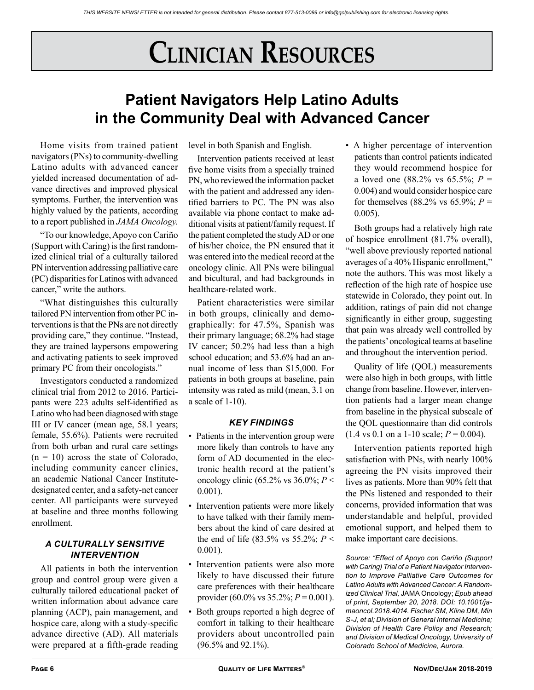# **Clinician Resources**

## **Patient Navigators Help Latino Adults in the Community Deal with Advanced Cancer**

Home visits from trained patient navigators (PNs) to community-dwelling Latino adults with advanced cancer yielded increased documentation of advance directives and improved physical symptoms. Further, the intervention was highly valued by the patients, according to a report published in *JAMA Oncology.*

"To our knowledge, Apoyo con Cariño (Support with Caring) is the first randomized clinical trial of a culturally tailored PN intervention addressing palliative care (PC) disparities for Latinos with advanced cancer," write the authors.

"What distinguishes this culturally tailored PN intervention from other PC interventions is that the PNs are not directly providing care," they continue. "Instead, they are trained laypersons empowering and activating patients to seek improved primary PC from their oncologists."

Investigators conducted a randomized clinical trial from 2012 to 2016. Participants were 223 adults self-identified as Latino who had been diagnosed with stage III or IV cancer (mean age, 58.1 years; female, 55.6%). Patients were recruited from both urban and rural care settings  $(n = 10)$  across the state of Colorado, including community cancer clinics, an academic National Cancer Institutedesignated center, and a safety-net cancer center. All participants were surveyed at baseline and three months following enrollment.

### *A CULTURALLY SENSITIVE INTERVENTION*

All patients in both the intervention group and control group were given a culturally tailored educational packet of written information about advance care planning (ACP), pain management, and hospice care, along with a study-specific advance directive (AD). All materials were prepared at a fifth-grade reading level in both Spanish and English.

Intervention patients received at least five home visits from a specially trained PN, who reviewed the information packet with the patient and addressed any identified barriers to PC. The PN was also available via phone contact to make additional visits at patient/family request. If the patient completed the study AD or one of his/her choice, the PN ensured that it was entered into the medical record at the oncology clinic. All PNs were bilingual and bicultural, and had backgrounds in healthcare-related work.

Patient characteristics were similar in both groups, clinically and demographically: for 47.5%, Spanish was their primary language; 68.2% had stage IV cancer; 50.2% had less than a high school education; and 53.6% had an annual income of less than \$15,000. For patients in both groups at baseline, pain intensity was rated as mild (mean, 3.1 on a scale of 1-10).

### *KEY FINDINGS*

- Patients in the intervention group were more likely than controls to have any form of AD documented in the electronic health record at the patient's oncology clinic (65.2% vs 36.0%; *P* < 0.001).
- Intervention patients were more likely to have talked with their family members about the kind of care desired at the end of life  $(83.5\% \text{ vs } 55.2\% \text{ ; } P <$ 0.001).
- Intervention patients were also more likely to have discussed their future care preferences with their healthcare provider (60.0% vs 35.2%; *P* = 0.001).
- Both groups reported a high degree of comfort in talking to their healthcare providers about uncontrolled pain (96.5% and 92.1%).

• A higher percentage of intervention patients than control patients indicated they would recommend hospice for a loved one (88.2% vs 65.5%; *P* = 0.004) and would consider hospice care for themselves (88.2% vs 65.9%;  $P =$ 0.005).

Both groups had a relatively high rate of hospice enrollment (81.7% overall), "well above previously reported national averages of a 40% Hispanic enrollment," note the authors. This was most likely a reflection of the high rate of hospice use statewide in Colorado, they point out. In addition, ratings of pain did not change significantly in either group, suggesting that pain was already well controlled by the patients' oncological teams at baseline and throughout the intervention period.

Quality of life (QOL) measurements were also high in both groups, with little change from baseline. However, intervention patients had a larger mean change from baseline in the physical subscale of the QOL questionnaire than did controls  $(1.4 \text{ vs } 0.1 \text{ on a } 1\n-10 \text{ scale}; P = 0.004).$ 

Intervention patients reported high satisfaction with PNs, with nearly 100% agreeing the PN visits improved their lives as patients. More than 90% felt that the PNs listened and responded to their concerns, provided information that was understandable and helpful, provided emotional support, and helped them to make important care decisions.

*Source: "Effect of Apoyo con Cariño (Support with Caring) Trial of a Patient Navigator Intervention to Improve Palliative Care Outcomes for Latino Adults with Advanced Cancer: A Randomized Clinical Trial,* JAMA Oncology; *Epub ahead of print, September 20, 2018. DOI: 10.1001/jamaoncol.2018.4014. Fischer SM, Kline DM, Min S-J, et al; Division of General Internal Medicine; Division of Health Care Policy and Research; and Division of Medical Oncology, University of Colorado School of Medicine, Aurora.*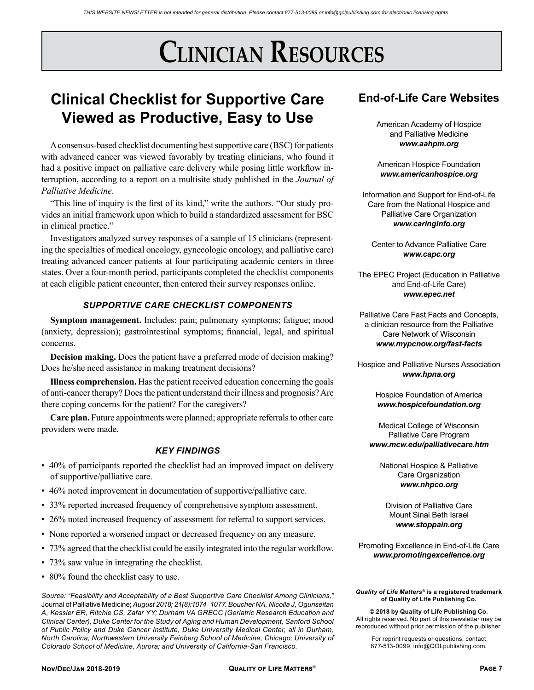# **Clinician Resources**

## **Clinical Checklist for Supportive Care Viewed as Productive, Easy to Use**

A consensus-based checklist documenting best supportive care (BSC) for patients with advanced cancer was viewed favorably by treating clinicians, who found it had a positive impact on palliative care delivery while posing little workflow interruption, according to a report on a multisite study published in the *Journal of Palliative Medicine.*

"This line of inquiry is the first of its kind," write the authors. "Our study provides an initial framework upon which to build a standardized assessment for BSC in clinical practice."

Investigators analyzed survey responses of a sample of 15 clinicians (representing the specialties of medical oncology, gynecologic oncology, and palliative care) treating advanced cancer patients at four participating academic centers in three states. Over a four-month period, participants completed the checklist components at each eligible patient encounter, then entered their survey responses online.

### *SUPPORTIVE CARE CHECKLIST COMPONENTS*

**Symptom management.** Includes: pain; pulmonary symptoms; fatigue; mood (anxiety, depression); gastrointestinal symptoms; financial, legal, and spiritual concerns.

**Decision making.** Does the patient have a preferred mode of decision making? Does he/she need assistance in making treatment decisions?

**Illness comprehension.** Has the patient received education concerning the goals of anti-cancer therapy? Does the patient understand their illness and prognosis? Are there coping concerns for the patient? For the caregivers?

**Care plan.** Future appointments were planned; appropriate referrals to other care providers were made.

### *KEY FINDINGS*

- 40% of participants reported the checklist had an improved impact on delivery of supportive/palliative care.
- 46% noted improvement in documentation of supportive/palliative care.
- 33% reported increased frequency of comprehensive symptom assessment.
- 26% noted increased frequency of assessment for referral to support services.
- None reported a worsened impact or decreased frequency on any measure.
- 73% agreed that the checklist could be easily integrated into the regular workflow.
- 73% saw value in integrating the checklist.
- 80% found the checklist easy to use.

*Source: "Feasibility and Acceptability of a Best Supportive Care Checklist Among Clinicians,"*  Journal of Palliative Medicine; *August 2018; 21(8):1074*–*1077. Boucher NA, Nicolla J, Ogunseitan A, Kessler ER, Ritchie CS, Zafar YY; Durham VA GRECC (Geriatric Research Education and Clinical Center), Duke Center for the Study of Aging and Human Development, Sanford School of Public Policy and Duke Cancer Institute, Duke University Medical Center, all in Durham, North Carolina; Northwestern University Feinberg School of Medicine, Chicago; University of Colorado School of Medicine, Aurora; and University of California-San Francisco.*

## **End-of-Life Care Websites**

American Academy of Hospice and Palliative Medicine *www.aahpm.org*

American Hospice Foundation *www.americanhospice.org*

Information and Support for End-of-Life Care from the National Hospice and Palliative Care Organization *www.caringinfo.org*

Center to Advance Palliative Care *www.capc.org*

The EPEC Project (Education in Palliative and End-of-Life Care) *www.epec.net*

Palliative Care Fast Facts and Concepts, a clinician resource from the Palliative Care Network of Wisconsin *www.mypcnow.org/fast-facts*

Hospice and Palliative Nurses Association *www.hpna.org*

> Hospice Foundation of America *www.hospicefoundation.org*

Medical College of Wisconsin Palliative Care Program *www.mcw.edu/palliativecare.htm*

National Hospice & Palliative Care Organization *www.nhpco.org*

Division of Palliative Care Mount Sinai Beth Israel *www.stoppain.org*

Promoting Excellence in End-of-Life Care *www.promotingexcellence.org*

#### *Quality of Life Matters®* **is a registered trademark of Quality of Life Publishing Co.**

**© 2018 by Quality of Life Publishing Co.** All rights reserved. No part of this newsletter may be reproduced without prior permission of the publisher.

For reprint requests or questions, contact 877-513-0099, info@QOLpublishing.com.